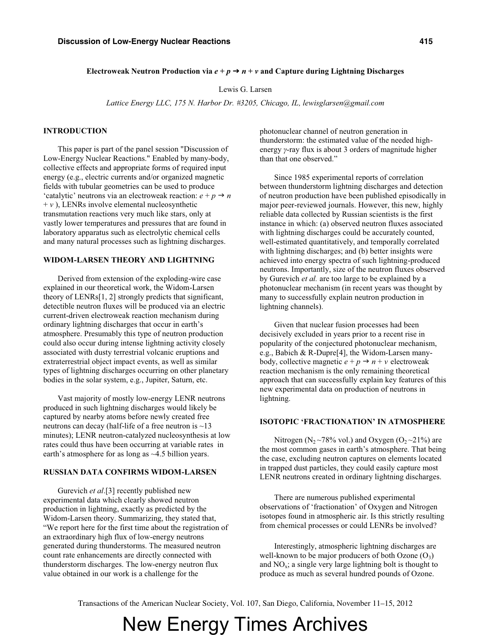### Electroweak Neutron Production via  $e + p \rightarrow n + \nu$  and Capture during Lightning Discharges

Lewis G. Larsen

*Lattice Energy LLC, 175 N. Harbor Dr. #3205, Chicago, IL, lewisglarsen@gmail.com* 

### **INTRODUCTION**

This paper is part of the panel session "Discussion of Low-Energy Nuclear Reactions." Enabled by many-body, collective effects and appropriate forms of required input energy (e.g., electric currents and/or organized magnetic fields with tubular geometries can be used to produce  $\text{``catalytic''}$  neutrons via an electroweak reaction:  $e + p \rightarrow n$  $+ v$ ), LENRs involve elemental nucleosynthetic transmutation reactions very much like stars, only at vastly lower temperatures and pressures that are found in laboratory apparatus such as electrolytic chemical cells and many natural processes such as lightning discharges.

# **WIDOM-LARSEN THEORY AND LIGHTNING**

Derived from extension of the exploding-wire case explained in our theoretical work, the Widom-Larsen theory of LENRs[1, 2] strongly predicts that significant, detectible neutron fluxes will be produced via an electric current-driven electroweak reaction mechanism during ordinary lightning discharges that occur in earth's atmosphere. Presumably this type of neutron production could also occur during intense lightning activity closely associated with dusty terrestrial volcanic eruptions and extraterrestrial object impact events, as well as similar types of lightning discharges occurring on other planetary bodies in the solar system, e.g., Jupiter, Saturn, etc.

Vast majority of mostly low-energy LENR neutrons produced in such lightning discharges would likely be captured by nearby atoms before newly created free neutrons can decay (half-life of a free neutron is ~13 minutes); LENR neutron-catalyzed nucleosynthesis at low rates could thus have been occurring at variable rates in earth's atmosphere for as long as  $~4.5$  billion years.

# **RUSSIAN DATA CONFIRMS WIDOM-LARSEN**

Gurevich *et al*.[3] recently published new experimental data which clearly showed neutron production in lightning, exactly as predicted by the Widom-Larsen theory. Summarizing, they stated that, "We report here for the first time about the registration of an extraordinary high flux of low-energy neutrons generated during thunderstorms. The measured neutron count rate enhancements are directly connected with thunderstorm discharges. The low-energy neutron flux value obtained in our work is a challenge for the

photonuclear channel of neutron generation in thunderstorm: the estimated value of the needed highenergy *y*-ray flux is about 3 orders of magnitude higher than that one observed."

Since 1985 experimental reports of correlation between thunderstorm lightning discharges and detection of neutron production have been published episodically in major peer-reviewed journals. However, this new, highly reliable data collected by Russian scientists is the first instance in which: (a) observed neutron fluxes associated with lightning discharges could be accurately counted, well-estimated quantitatively, and temporally correlated with lightning discharges; and (b) better insights were achieved into energy spectra of such lightning-produced neutrons. Importantly, size of the neutron fluxes observed by Gurevich *et al.* are too large to be explained by a photonuclear mechanism (in recent years was thought by many to successfully explain neutron production in lightning channels).

Given that nuclear fusion processes had been decisively excluded in years prior to a recent rise in popularity of the conjectured photonuclear mechanism, e.g., Babich & R-Dupre[4], the Widom-Larsen manybody, collective magnetic  $e + p \rightarrow n + v$  electroweak reaction mechanism is the only remaining theoretical approach that can successfully explain key features of this new experimental data on production of neutrons in lightning.

#### **ISOTOPIC 'FRACTIONATION' IN ATMOSPHERE**

Nitrogen (N<sub>2</sub> ~78% vol.) and Oxygen (O<sub>2</sub> ~21%) are the most common gases in earth's atmosphere. That being the case, excluding neutron captures on elements located in trapped dust particles, they could easily capture most LENR neutrons created in ordinary lightning discharges.

There are numerous published experimental observations of 'fractionation' of Oxygen and Nitrogen isotopes found in atmospheric air. Is this strictly resulting from chemical processes or could LENRs be involved?

Interestingly, atmospheric lightning discharges are well-known to be major producers of both Ozone  $(O_3)$ and  $NO<sub>x</sub>$ ; a single very large lightning bolt is thought to produce as much as several hundred pounds of Ozone.

Transactions of the American Nuclear Society, Vol. 107, San Diego, California, November 11–15, 2012

New Energy Times Archives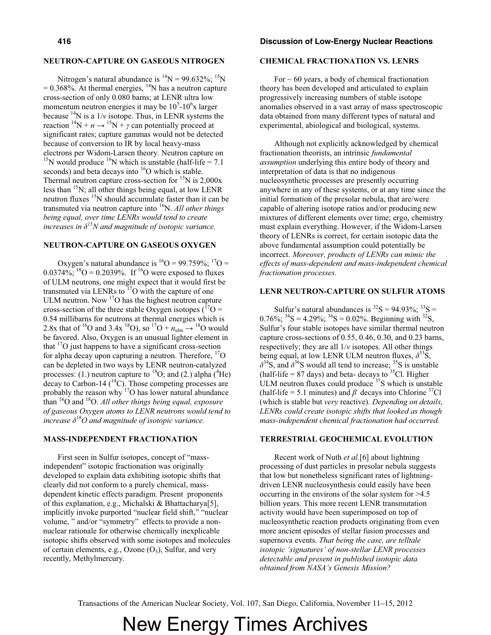## **NEUTRON-CAPTURE ON GASEOUS NITROGEN**

Nitrogen's natural abundance is  ${}^{14}N = 99.632\%$ ;  ${}^{15}N$  $= 0.368\%$ . At thermal energies,  $^{14}N$  has a neutron capture cross-section of only 0.080 barns; at LENR ultra low momentum neutron energies it may be  $10^5$ - $10^6$ x larger because  $^{14}N$  is a  $1/v$  isotope. Thus, in LENR systems the reaction  ${}^{14}N + n \rightarrow {}^{15}N + \gamma$  can potentially proceed at significant rates; capture gammas would not be detected because of conversion to IR by local heavy-mass<br>electrons per Widom-Larsen theory. Neutron capture on <sup>15</sup>N would produce <sup>16</sup>N which is unstable (half-life = 7.1) seconds) and beta decays into  $^{16}$ O which is stable. Thermal neutron capture cross-section for  ${}^{15}N$  is 2,000x less than 15N; all other things being equal, at low LENR neutron fluxes <sup>15</sup>N should accumulate faster than it can be transmuted via neutron capture into 16N. *All other things being equal, over time LENRs would tend to create increases in*  $\delta^{15}N$  *and magnitude of isotopic variance.* 

### **NEUTRON-CAPTURE ON GASEOUS OXYGEN**

Oxygen's natural abundance is  ${}^{16}O = 99.759\%$ ;  ${}^{17}O =$  $0.0374\%$ ; <sup>18</sup>O = 0.2039%. If <sup>16</sup>O were exposed to fluxes of ULM neutrons, one might expect that it would first be transmuted via LENRs to  $17$ <sup>17</sup>O with the capture of one ULM neutron. Now  $17$ O has the highest neutron capture cross-section of the three stable Oxygen isotopes ( ${}^{17}O =$ 0.54 millibarns for neutrons at thermal energies which is 2.8x that of <sup>16</sup>O and 3.4x <sup>18</sup>O), so <sup>17</sup>O +  $n_{\text{ulm}} \rightarrow$  <sup>18</sup>O would be favored. Also, Oxygen is an unusual lighter element in that  $17$ O just happens to have a significant cross-section for alpha decay upon capturing a neutron. Therefore,  $\frac{17}{10}$ can be depleted in two ways by LENR neutron-catalyzed processes: (1.) neutron capture to  $^{18}$ O; and (2.) alpha ( $^{4}$ He) decay to Carbon-14 ( $\rm ^{14}C$ ). Those competing processes are probably the reason why 17O has lower natural abundance than 16O and 18O. *All other things being equal, exposure of gaseous Oxygen atoms to LENR neutrons would tend to increase*  $\delta^{18}O$  *and magnitude of isotopic variance.* 

## **MASS-INDEPENDENT FRACTIONATION**

First seen in Sulfur isotopes, concept of "massindependent" isotopic fractionation was originally developed to explain data exhibiting isotopic shifts that clearly did not conform to a purely chemical, massdependent kinetic effects paradigm. Present proponents of this explanation, e.g., Michalski & Bhattacharya[5], implicitly invoke purported "nuclear field shift," "nuclear volume, " and/or "symmetry" effects to provide a nonnuclear rationale for otherwise chemically inexplicable isotopic shifts observed with some isotopes and molecules of certain elements, e.g., Ozone  $(O_3)$ , Sulfur, and very recently, Methylmercury.

#### **416 Discussion of Low-Energy Nuclear Reactions**

## **CHEMICAL FRACTIONATION VS. LENRS**

For  $\sim$  60 years, a body of chemical fractionation theory has been developed and articulated to explain progressively increasing numbers of stable isotope anomalies observed in a vast array of mass spectroscopic data obtained from many different types of natural and experimental, abiological and biological, systems.

Although not explicitly acknowledged by chemical fractionation theorists, an intrinsic *fundamental assumption* underlying this entire body of theory and interpretation of data is that no indigenous nucleosynthetic processes are presently occurring anywhere in any of these systems, or at any time since the initial formation of the presolar nebula, that are/were capable of altering isotope ratios and/or producing new mixtures of different elements over time; ergo, chemistry must explain everything. However, if the Widom-Larsen theory of LENRs is correct, for certain isotopic data the above fundamental assumption could potentially be incorrect. *Moreover, products of LENRs can mimic the effects of mass-dependent and mass-independent chemical fractionation processes.*

# **LENR NEUTRON-CAPTURE ON SULFUR ATOMS**

Sulfur's natural abundances is  ${}^{32}S = 94.93\%$ ;  ${}^{33}S =$ 0.76%;  ${}^{34}S = 4.29\%$ ;  ${}^{36}S = 0.02\%$ . Beginning with  ${}^{32}S$ , Sulfur's four stable isotopes have similar thermal neutron capture cross-sections of 0.55, 0.46, 0.30, and 0.23 barns, respectively; they are all 1/*v* isotopes. All other things being equal, at low LENR ULM neutron fluxes,  $\delta^{33}$ S,  $\delta^{34}$ S, and  $\delta^{36}$ S would all tend to increase;  $^{35}$ S is unstable (half-life =  $87$  days) and beta- decays to <sup>35</sup>Cl. Higher ULM neutron fluxes could produce <sup>37</sup>S which is unstable (half-life = 5.1 minutes) and  $\beta$  decays into Chlorine <sup>37</sup>Cl (which is stable but *very* reactive). *Depending on details, LENRs could create isotopic shifts that looked as though mass-independent chemical fractionation had occurred.* 

## **TERRESTRIAL GEOCHEMICAL EVOLUTION**

Recent work of Nuth *et al.*[6] about lightning processing of dust particles in presolar nebula suggests that low but nonetheless significant rates of lightningdriven LENR nucleosynthesis could easily have been occurring in the environs of the solar system for >4.5 billion years. This more recent LENR transmutation activity would have been superimposed on top of nucleosynthetic reaction products originating from even more ancient episodes of stellar fusion processes and supernova events. *That being the case, are telltale Lisotopic 'signatures' of non-stellar LENR processes detectable and present in published isotopic data obtained from NASA's Genesis Mission?* 

Transactions of the American Nuclear Society, Vol. 107, San Diego, California, November 11–15, 2012

# New Energy Times Archives